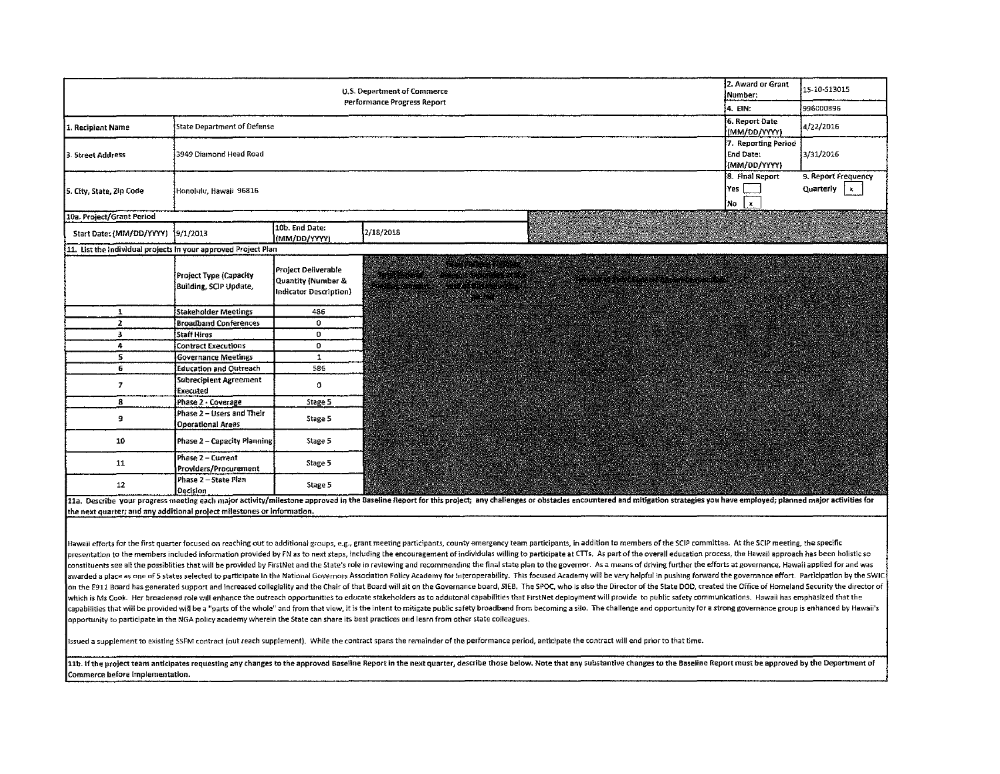| U.S. Department of Commerce                                    |                                                       |                                                                     |                                                                               |                                                                                                                                                                                                                                                                                                                                                  |                                                                                                                       | 2. Award or Grant<br>Number:                     | 15-10-513015                                     |
|----------------------------------------------------------------|-------------------------------------------------------|---------------------------------------------------------------------|-------------------------------------------------------------------------------|--------------------------------------------------------------------------------------------------------------------------------------------------------------------------------------------------------------------------------------------------------------------------------------------------------------------------------------------------|-----------------------------------------------------------------------------------------------------------------------|--------------------------------------------------|--------------------------------------------------|
| Performance Progress Report<br>14. EIN:                        |                                                       |                                                                     |                                                                               |                                                                                                                                                                                                                                                                                                                                                  |                                                                                                                       |                                                  | 996000896                                        |
| 1. Recipient Name                                              | State Department of Defense                           |                                                                     |                                                                               |                                                                                                                                                                                                                                                                                                                                                  |                                                                                                                       |                                                  | 4/22/2016                                        |
| 3. Street Address                                              | 3949 Diamond Head Road                                |                                                                     |                                                                               |                                                                                                                                                                                                                                                                                                                                                  |                                                                                                                       | 7. Reporting Period<br>End Date:<br>(MM/DD/YYYY) | 3/31/2016                                        |
| 5. City, State, Zip Code                                       | Honolulu, Hawaii 96816                                |                                                                     |                                                                               |                                                                                                                                                                                                                                                                                                                                                  |                                                                                                                       | 8. Final Report<br>Yes  <br>No ∣x                | 9. Report Frequency<br>Quarterly $\vert x \vert$ |
| 10a. Project/Grant Period                                      |                                                       |                                                                     |                                                                               |                                                                                                                                                                                                                                                                                                                                                  | <b>Service Advised</b>                                                                                                |                                                  |                                                  |
| Start Date: (MM/DD/YYYY) 9/1/2013                              |                                                       | 10b. End Date:<br>(MM/DD/YYYY)                                      | 2/18/2018                                                                     |                                                                                                                                                                                                                                                                                                                                                  |                                                                                                                       |                                                  |                                                  |
| 11. List the individual projects in your approved Project Plan |                                                       |                                                                     |                                                                               |                                                                                                                                                                                                                                                                                                                                                  |                                                                                                                       |                                                  |                                                  |
|                                                                | Project Type (Capacity<br>Building, SCIP Update,      | Project Deliverable<br>Quantity (Number &<br>Indicator Description) | men votes<br>ester i sje navnetske nederland<br>Missisch av Johann Markenball | g verbruikt andere en de staan van de sterken.<br>Westerne maakter van de staan van de sterken van<br>mente de la componencia de la componencia de la componencia de la componencia de la componencia de la componen<br>Del componencia del componencia del componencia del componencia de la componencia de la componencia del compon<br>ergreg | <u> 1990'de de deux de la provincia de la provincia de la provincia de la provincia de la provincia de la provinc</u> |                                                  |                                                  |
| 1                                                              | Stakeholder Meetings                                  | 486                                                                 |                                                                               |                                                                                                                                                                                                                                                                                                                                                  |                                                                                                                       |                                                  |                                                  |
| $\overline{2}$                                                 | <b>Broadband Conferences</b>                          | $\mathbf 0$                                                         |                                                                               |                                                                                                                                                                                                                                                                                                                                                  |                                                                                                                       |                                                  |                                                  |
| 3                                                              | <b>Staff Hires</b>                                    | $\mathbf{O}$                                                        |                                                                               |                                                                                                                                                                                                                                                                                                                                                  |                                                                                                                       |                                                  |                                                  |
| 4                                                              | <b>Contract Executions</b>                            | $\mathbf{O}$                                                        |                                                                               |                                                                                                                                                                                                                                                                                                                                                  |                                                                                                                       |                                                  |                                                  |
| 5                                                              | <b>Governance Meetings</b>                            | $\mathbf{1}$                                                        |                                                                               |                                                                                                                                                                                                                                                                                                                                                  |                                                                                                                       |                                                  |                                                  |
| 6                                                              | <b>Education and Outreach</b>                         | 586                                                                 |                                                                               |                                                                                                                                                                                                                                                                                                                                                  |                                                                                                                       |                                                  |                                                  |
| $\overline{7}$                                                 | Subrecipient Agreement<br>Executed                    | 0                                                                   |                                                                               |                                                                                                                                                                                                                                                                                                                                                  |                                                                                                                       |                                                  |                                                  |
| 8                                                              | Phase 2 - Coverage                                    | Stage 5                                                             |                                                                               |                                                                                                                                                                                                                                                                                                                                                  |                                                                                                                       |                                                  |                                                  |
| 9                                                              | Phase 2 - Users and Their<br><b>Operational Areas</b> | Stage 5                                                             |                                                                               |                                                                                                                                                                                                                                                                                                                                                  |                                                                                                                       |                                                  |                                                  |
| 10                                                             | Phase 2 - Capacity Planning                           | Stage 5                                                             |                                                                               |                                                                                                                                                                                                                                                                                                                                                  |                                                                                                                       |                                                  |                                                  |
| 11                                                             | Phase 2 - Current<br>Providers/Procurement            | Stage 5                                                             |                                                                               |                                                                                                                                                                                                                                                                                                                                                  |                                                                                                                       |                                                  |                                                  |
| 12                                                             | Phase 2 - State Plan<br>Decision                      | Stage 5                                                             |                                                                               |                                                                                                                                                                                                                                                                                                                                                  |                                                                                                                       |                                                  |                                                  |

11a. Describe your progress meeting each major activity/milestone approved in the Baseline Report for this project; any challenges or obstacles encountered and mitigation strategies you have employed; planned major activit the next quarter; and any additional project milestones or information.

Hawaii efforts for the first quarter focused on reaching out to additional groups, e.g., grant meeting participants, county emergency team participants, in addition to members of the SCIP committee. At the SCIP meeting, th presentation to the members included information provided by FN as to next steps, including the encouragement of individulas willing to participate at CTTs. As part of the overall education process, the Hawaii approach has constituents see all the possibilies that will be provided by FirstNet and the State's role in reviewing and recommending the final state plan to the governor. As a means of driving further the efforts at governance, Hawai awarded a place as one of 5 states selected to participate in the National Governors Association Policy Academy for Interoperability. This focused Academy will be very helpful in pushing forward the governance effort. Part on the E911 Board has generated support and increased collegiality and the Chair of that Board will sit on the Governance board, SIEB. The SPOC, who is also the Director of the State DOD, created the Office of Homeland Sec which is Ms Cook. Her broadened role will enhance the outreach opportunities to educate stakeholders as to addiitonal capabilities that FirstNet deployment will provide to public safety communications. Hawaii has emphasize capabilities that will be provided will be a "parts of the whole" and from that view, it is the intent to mitigate public safety broadband from becoming a silo. The challenge and opportunity for a strong governance group i opportunity to participate in the NGA policy academy wherein the State can share its best practices and learn from other state colleagues.

a supplement to existing SSFM wntract (out reach supplement). While the contract spans the remainder of the performance period, anticipate the contract will end prior to that time.

11b. If the project team anticipates requesting any changes to the approved Baseline Report in the next quarter, describe those below. Note that any substantive changes to the Baseline Report must be approved by the Depart Commerce before implementation.